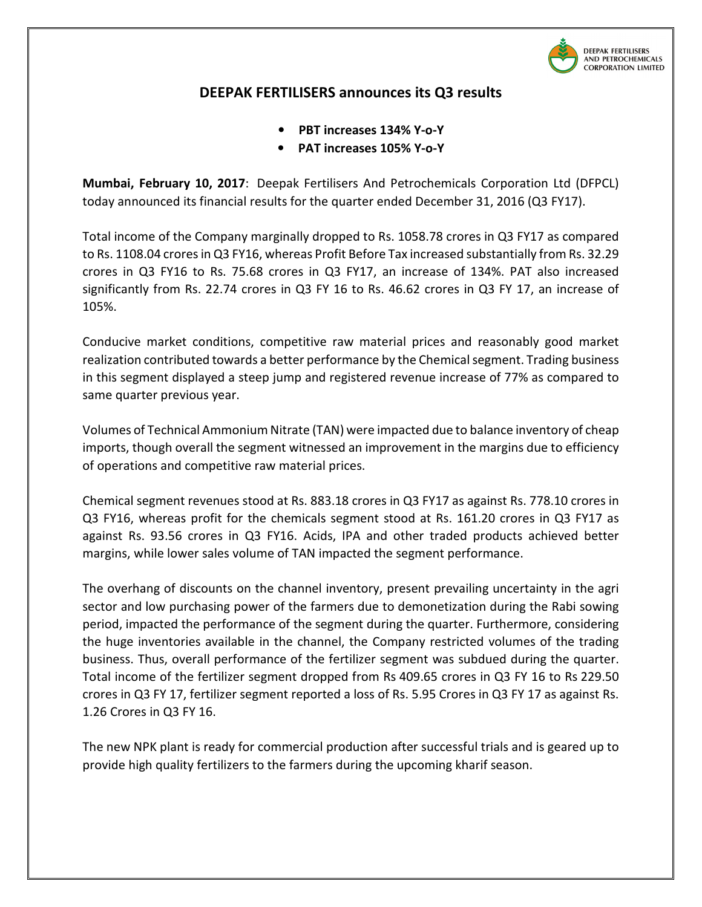

## DEEPAK FERTILISERS announces its Q3 results

- PBT increases 134% Y-o-Y
- PAT increases 105% Y-o-Y

Mumbai, February 10, 2017: Deepak Fertilisers And Petrochemicals Corporation Ltd (DFPCL) today announced its financial results for the quarter ended December 31, 2016 (Q3 FY17).

Total income of the Company marginally dropped to Rs. 1058.78 crores in Q3 FY17 as compared to Rs. 1108.04 crores in Q3 FY16, whereas Profit Before Tax increased substantially from Rs. 32.29 crores in Q3 FY16 to Rs. 75.68 crores in Q3 FY17, an increase of 134%. PAT also increased significantly from Rs. 22.74 crores in Q3 FY 16 to Rs. 46.62 crores in Q3 FY 17, an increase of 105%.

Conducive market conditions, competitive raw material prices and reasonably good market realization contributed towards a better performance by the Chemical segment. Trading business in this segment displayed a steep jump and registered revenue increase of 77% as compared to same quarter previous year.

Volumes of Technical Ammonium Nitrate (TAN) were impacted due to balance inventory of cheap imports, though overall the segment witnessed an improvement in the margins due to efficiency of operations and competitive raw material prices.

Chemical segment revenues stood at Rs. 883.18 crores in Q3 FY17 as against Rs. 778.10 crores in Q3 FY16, whereas profit for the chemicals segment stood at Rs. 161.20 crores in Q3 FY17 as against Rs. 93.56 crores in Q3 FY16. Acids, IPA and other traded products achieved better margins, while lower sales volume of TAN impacted the segment performance.

The overhang of discounts on the channel inventory, present prevailing uncertainty in the agri sector and low purchasing power of the farmers due to demonetization during the Rabi sowing period, impacted the performance of the segment during the quarter. Furthermore, considering the huge inventories available in the channel, the Company restricted volumes of the trading business. Thus, overall performance of the fertilizer segment was subdued during the quarter. Total income of the fertilizer segment dropped from Rs 409.65 crores in Q3 FY 16 to Rs 229.50 crores in Q3 FY 17, fertilizer segment reported a loss of Rs. 5.95 Crores in Q3 FY 17 as against Rs. 1.26 Crores in Q3 FY 16.

The new NPK plant is ready for commercial production after successful trials and is geared up to provide high quality fertilizers to the farmers during the upcoming kharif season.